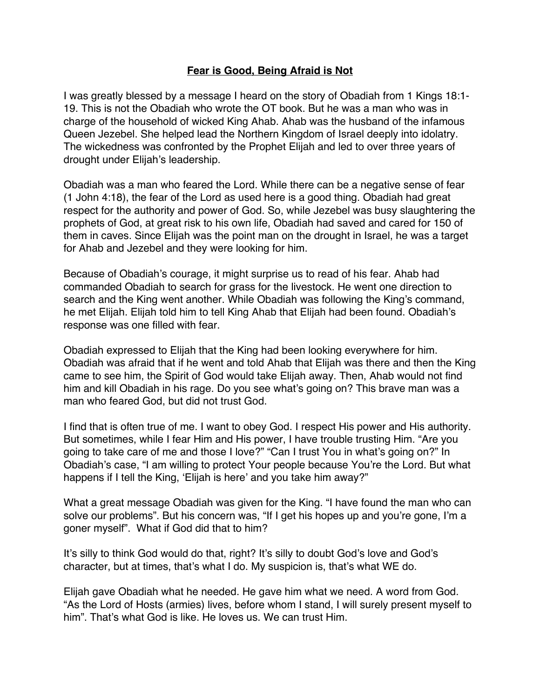## **Fear is Good, Being Afraid is Not**

I was greatly blessed by a message I heard on the story of Obadiah from 1 Kings 18:1- 19. This is not the Obadiah who wrote the OT book. But he was a man who was in charge of the household of wicked King Ahab. Ahab was the husband of the infamous Queen Jezebel. She helped lead the Northern Kingdom of Israel deeply into idolatry. The wickedness was confronted by the Prophet Elijah and led to over three years of drought under Elijah's leadership.

Obadiah was a man who feared the Lord. While there can be a negative sense of fear (1 John 4:18), the fear of the Lord as used here is a good thing. Obadiah had great respect for the authority and power of God. So, while Jezebel was busy slaughtering the prophets of God, at great risk to his own life, Obadiah had saved and cared for 150 of them in caves. Since Elijah was the point man on the drought in Israel, he was a target for Ahab and Jezebel and they were looking for him.

Because of Obadiah's courage, it might surprise us to read of his fear. Ahab had commanded Obadiah to search for grass for the livestock. He went one direction to search and the King went another. While Obadiah was following the King's command, he met Elijah. Elijah told him to tell King Ahab that Elijah had been found. Obadiah's response was one filled with fear.

Obadiah expressed to Elijah that the King had been looking everywhere for him. Obadiah was afraid that if he went and told Ahab that Elijah was there and then the King came to see him, the Spirit of God would take Elijah away. Then, Ahab would not find him and kill Obadiah in his rage. Do you see what's going on? This brave man was a man who feared God, but did not trust God.

I find that is often true of me. I want to obey God. I respect His power and His authority. But sometimes, while I fear Him and His power, I have trouble trusting Him. "Are you going to take care of me and those I love?" "Can I trust You in what's going on?" In Obadiah's case, "I am willing to protect Your people because You're the Lord. But what happens if I tell the King, 'Elijah is here' and you take him away?"

What a great message Obadiah was given for the King. "I have found the man who can solve our problems". But his concern was, "If I get his hopes up and you're gone, I'm a goner myself". What if God did that to him?

It's silly to think God would do that, right? It's silly to doubt God's love and God's character, but at times, that's what I do. My suspicion is, that's what WE do.

Elijah gave Obadiah what he needed. He gave him what we need. A word from God. "As the Lord of Hosts (armies) lives, before whom I stand, I will surely present myself to him". That's what God is like. He loves us. We can trust Him.